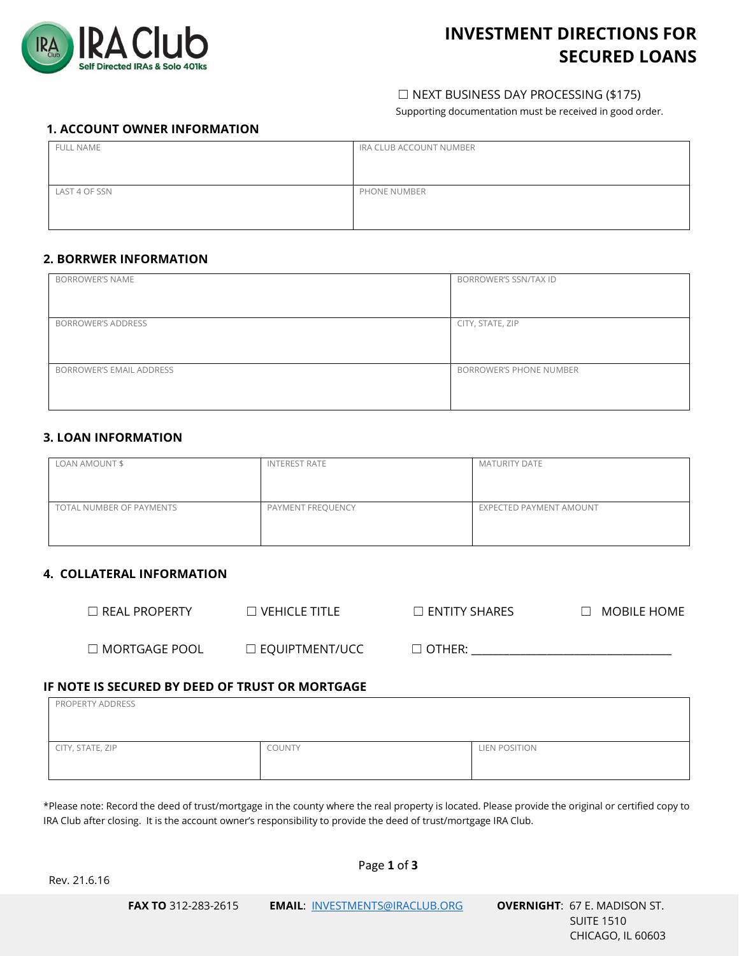

# **INVESTMENT DIRECTIONS FOR SECURED LOANS**

# ☐ NEXT BUSINESS DAY PROCESSING (\$175)

Supporting documentation must be received in good order.

# **1. ACCOUNT OWNER INFORMATION**

| <b>FULL NAME</b> | IRA CLUB ACCOUNT NUMBER |
|------------------|-------------------------|
|                  |                         |
| LAST 4 OF SSN    | PHONE NUMBER            |
|                  |                         |

# **2. BORRWER INFORMATION**

| <b>BORROWER'S NAME</b>    | BORROWER'S SSN/TAX ID          |
|---------------------------|--------------------------------|
| <b>BORROWER'S ADDRESS</b> | CITY, STATE, ZIP               |
| BORROWER'S EMAIL ADDRESS  | <b>BORROWER'S PHONE NUMBER</b> |

# **3. LOAN INFORMATION**

| LOAN AMOUNT \$           | <b>INTEREST RATE</b> | <b>MATURITY DATE</b>    |
|--------------------------|----------------------|-------------------------|
| TOTAL NUMBER OF PAYMENTS | PAYMENT FREQUENCY    | EXPECTED PAYMENT AMOUNT |

# **4. COLLATERAL INFORMATION**

| $\Box$ REAL PROPERTY. | $\Box$ vehicle title $\,$ | $\Box$ ENTITY SHARES | MOBILE HOME<br>$\mathbf{1}$ |
|-----------------------|---------------------------|----------------------|-----------------------------|
| $\Box$ MORTGAGE POOL  | $\Box$ EQUIPTMENT/UCC     | $\Box$ other:        |                             |

# **IF NOTE IS SECURED BY DEED OF TRUST OR MORTGAGE**

| PROPERTY ADDRESS |        |               |
|------------------|--------|---------------|
|                  |        |               |
| CITY, STATE, ZIP | COUNTY | LIEN POSITION |
|                  |        |               |

\*Please note: Record the deed of trust/mortgage in the county where the real property is located. Please provide the original or certified copy to IRA Club after closing. It is the account owner's responsibility to provide the deed of trust/mortgage IRA Club.

Rev. 21.6.16

Page **1** of **3**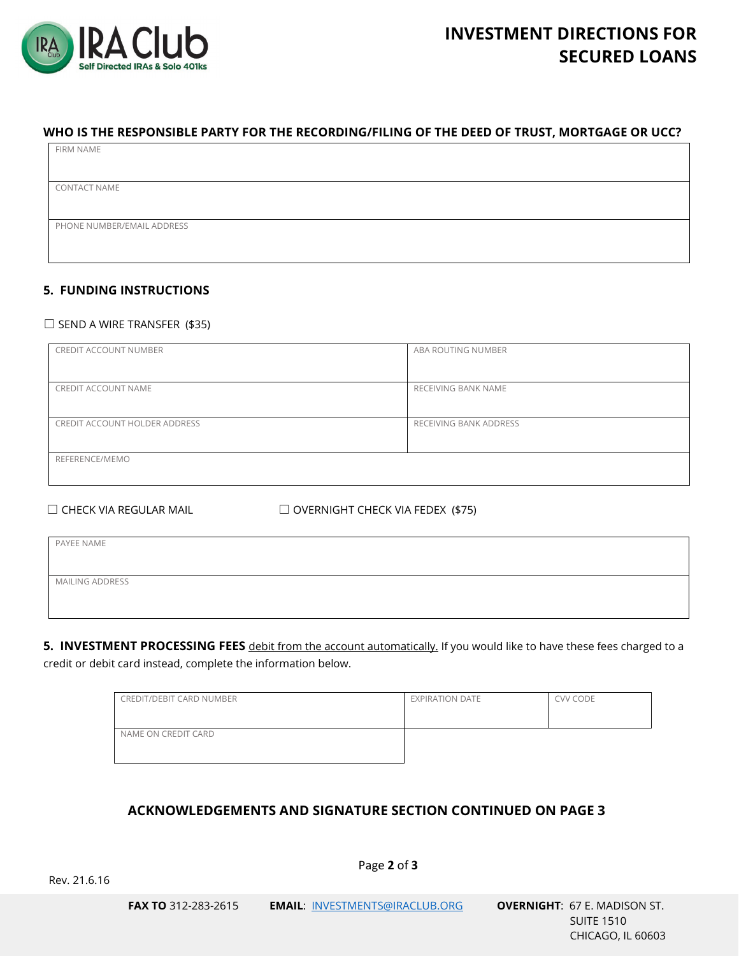

# **WHO IS THE RESPONSIBLE PARTY FOR THE RECORDING/FILING OF THE DEED OF TRUST, MORTGAGE OR UCC?**

| FIRM NAME                  |
|----------------------------|
|                            |
|                            |
| <b>CONTACT NAME</b>        |
|                            |
|                            |
| PHONE NUMBER/EMAIL ADDRESS |
|                            |
|                            |
|                            |

# **5. FUNDING INSTRUCTIONS**

#### $\Box$  SEND A WIRE TRANSFER (\$35)

| CREDIT ACCOUNT NUMBER         | ABA ROUTING NUMBER     |
|-------------------------------|------------------------|
| CREDIT ACCOUNT NAME           | RECEIVING BANK NAME    |
| CREDIT ACCOUNT HOLDER ADDRESS | RECEIVING BANK ADDRESS |
| REFERENCE/MEMO                |                        |

☐ CHECK VIA REGULAR MAIL ☐ OVERNIGHT CHECK VIA FEDEX (\$75)

| PAYEE NAME             |  |  |
|------------------------|--|--|
|                        |  |  |
| <b>MAILING ADDRESS</b> |  |  |
|                        |  |  |

**5. INVESTMENT PROCESSING FEES** debit from the account automatically. If you would like to have these fees charged to a credit or debit card instead, complete the information below.

| CREDIT/DEBIT CARD NUMBER | <b>EXPIRATION DATE</b> | CVV CODE |
|--------------------------|------------------------|----------|
| NAME ON CREDIT CARD      |                        |          |

# **ACKNOWLEDGEMENTS AND SIGNATURE SECTION CONTINUED ON PAGE 3**

Page **2** of **3**